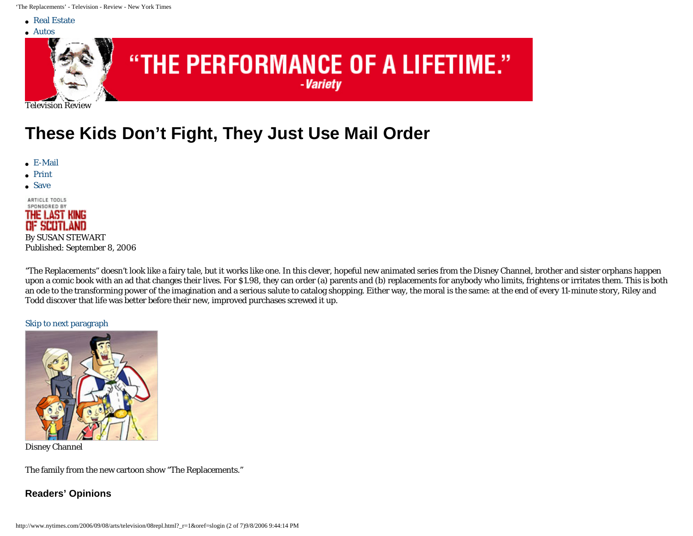<span id="page-0-0"></span>'The Replacements' - Television - Review - New York Times

● [Real Estate](http://www.nytimes.com/pages/realestate/index.html)



# "THE PERFORMANCE OF A LIFETIME."

-Variety

Television Review

# **These Kids Don't Fight, They Just Use Mail Order**

- $\bullet$  [E-Mail](javascript:document.emailThis.submit();)
- [Print](http://www.nytimes.com/2006/09/08/arts/television/08repl.html?_r=1&oref=slogin&pagewanted=print)
- [Save](#page-0-0)

ARTICLE TOOLS SPONSORED BY THE LAST KING **DF SCOTLAND** By SUSAN STEWART

Published: September 8, 2006

"The Replacements" doesn't look like a fairy tale, but it works like one. In this clever, hopeful new animated series from the Disney Channel, brother and sister orphans happen upon a comic book with an ad that changes their lives. For \$1.98, they can order (a) parents and (b) replacements for anybody who limits, frightens or irritates them. This is both an ode to the transforming power of the imagination and a serious salute to catalog shopping. Either way, the moral is the same: at the end of every 11-minute story, Riley and Todd discover that life was better before their new, improved purchases screwed it up.

#### [Skip to next paragraph](#page-1-0)



Disney Channel

The family from the new cartoon show "The Replacements."

**Readers' Opinions**